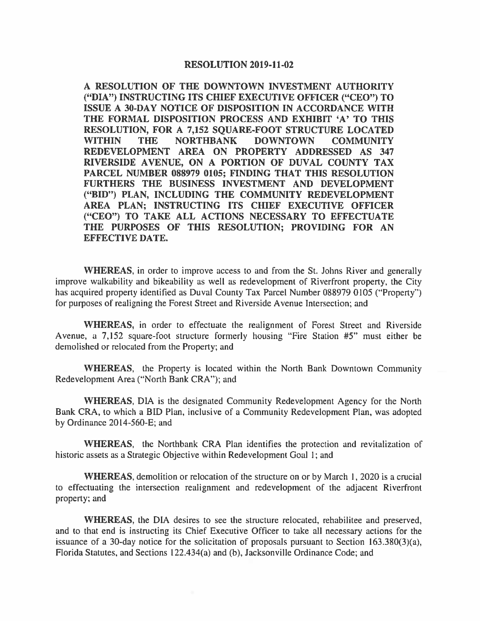#### **RESOLUTION 2019-11-02**

A RESOLUTION OF THE DOWNTOWN INVESTMENT AUTHORITY ("DIA") INSTRUCTING ITS CHIEF EXECUTIVE OFFICER ("CEO") TO ISSUE A 30-DAY NOTICE OF DISPOSITION IN ACCORDANCE WITH THE FORMAL DISPOSITION PROCESS AND EXHIBIT 'A' TO THIS RESOLUTION, FOR A 7,152 SQUARE-FOOT STRUCTURE LOCATED **WITHIN THE NORTHBANK DOWNTOWN COMMUNITY** REDEVELOPMENT AREA ON PROPERTY ADDRESSED AS 347 RIVERSIDE AVENUE, ON A PORTION OF DUVAL COUNTY TAX PARCEL NUMBER 088979 0105; FINDING THAT THIS RESOLUTION FURTHERS THE BUSINESS INVESTMENT AND DEVELOPMENT ("BID") PLAN, INCLUDING THE COMMUNITY REDEVELOPMENT AREA PLAN; INSTRUCTING ITS CHIEF EXECUTIVE OFFICER ("CEO") TO TAKE ALL ACTIONS NECESSARY TO EFFECTUATE THE PURPOSES OF THIS RESOLUTION; PROVIDING FOR AN **EFFECTIVE DATE.** 

**WHEREAS**, in order to improve access to and from the St. Johns River and generally improve walkability and bikeability as well as redevelopment of Riverfront property, the City has acquired property identified as Duval County Tax Parcel Number 088979 0105 ("Property") for purposes of realigning the Forest Street and Riverside Avenue Intersection; and

**WHEREAS**, in order to effectuate the realignment of Forest Street and Riverside Avenue, a 7,152 square-foot structure formerly housing "Fire Station #5" must either be demolished or relocated from the Property; and

**WHEREAS,** the Property is located within the North Bank Downtown Community Redevelopment Area ("North Bank CRA"); and

WHEREAS, DIA is the designated Community Redevelopment Agency for the North Bank CRA, to which a BID Plan, inclusive of a Community Redevelopment Plan, was adopted by Ordinance 2014-560-E; and

WHEREAS, the Northbank CRA Plan identifies the protection and revitalization of historic assets as a Strategic Objective within Redevelopment Goal 1; and

**WHEREAS**, demolition or relocation of the structure on or by March 1, 2020 is a crucial to effectuating the intersection realignment and redevelopment of the adjacent Riverfront property; and

WHEREAS, the DIA desires to see the structure relocated, rehabilitee and preserved, and to that end is instructing its Chief Executive Officer to take all necessary actions for the issuance of a 30-day notice for the solicitation of proposals pursuant to Section  $163.380(3)(a)$ , Florida Statutes, and Sections 122.434(a) and (b), Jacksonville Ordinance Code; and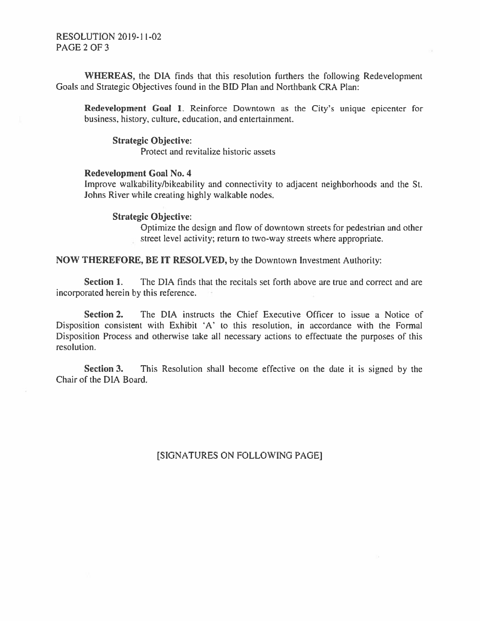## **RESOLUTION 2019-11-02** PAGE 2 OF 3

WHEREAS, the DIA finds that this resolution furthers the following Redevelopment Goals and Strategic Objectives found in the BID Plan and Northbank CRA Plan:

Redevelopment Goal 1. Reinforce Downtown as the City's unique epicenter for business, history, culture, education, and entertainment.

#### **Strategic Objective:**

Protect and revitalize historic assets

#### **Redevelopment Goal No. 4**

Improve walkability/bikeability and connectivity to adjacent neighborhoods and the St. Johns River while creating highly walkable nodes.

#### **Strategic Objective:**

Optimize the design and flow of downtown streets for pedestrian and other street level activity; return to two-way streets where appropriate.

**NOW THEREFORE, BE IT RESOLVED, by the Downtown Investment Authority:** 

The DIA finds that the recitals set forth above are true and correct and are Section 1. incorporated herein by this reference.

The DIA instructs the Chief Executive Officer to issue a Notice of Section 2. Disposition consistent with Exhibit 'A' to this resolution, in accordance with the Formal Disposition Process and otherwise take all necessary actions to effectuate the purposes of this resolution.

Section 3. This Resolution shall become effective on the date it is signed by the Chair of the DIA Board.

[SIGNATURES ON FOLLOWING PAGE]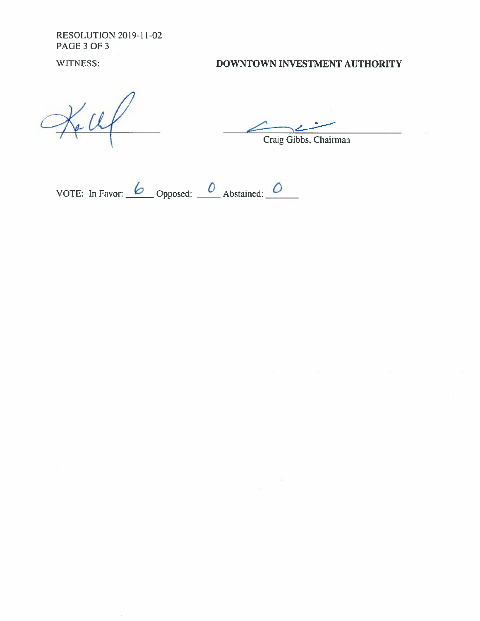**RESOLUTION 2019-11-02** PAGE 3 OF 3

WITNESS:

# DOWNTOWN INVESTMENT AUTHORITY

Craig Gibbs, Chairman

VOTE: In Favor:  $\frac{6}{\sqrt{2}}$  Opposed:  $\frac{0}{\sqrt{2}}$  Abstained:  $\frac{0}{\sqrt{2}}$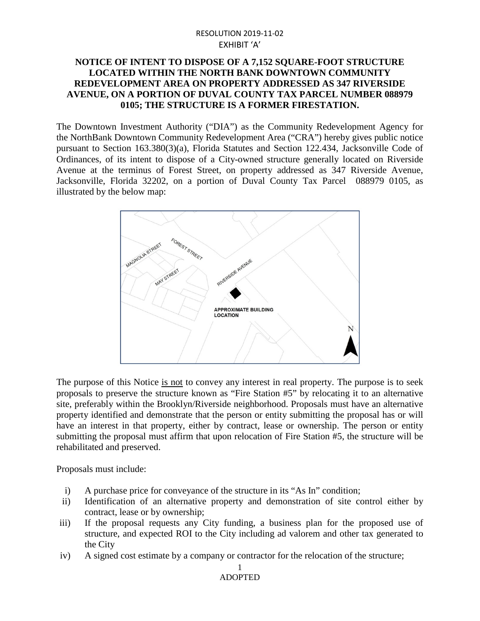# RESOLUTION 2019-11-02 EXHIBIT 'A'

# **NOTICE OF INTENT TO DISPOSE OF A 7,152 SQUARE-FOOT STRUCTURE LOCATED WITHIN THE NORTH BANK DOWNTOWN COMMUNITY REDEVELOPMENT AREA ON PROPERTY ADDRESSED AS 347 RIVERSIDE AVENUE, ON A PORTION OF DUVAL COUNTY TAX PARCEL NUMBER 088979 0105; THE STRUCTURE IS A FORMER FIRESTATION.**

The Downtown Investment Authority ("DIA") as the Community Redevelopment Agency for the NorthBank Downtown Community Redevelopment Area ("CRA") hereby gives public notice pursuant to Section 163.380(3)(a), Florida Statutes and Section 122.434, Jacksonville Code of Ordinances, of its intent to dispose of a City-owned structure generally located on Riverside Avenue at the terminus of Forest Street, on property addressed as 347 Riverside Avenue, Jacksonville, Florida 32202, on a portion of Duval County Tax Parcel 088979 0105, as illustrated by the below map:



The purpose of this Notice is not to convey any interest in real property. The purpose is to seek proposals to preserve the structure known as "Fire Station #5" by relocating it to an alternative site, preferably within the Brooklyn/Riverside neighborhood. Proposals must have an alternative property identified and demonstrate that the person or entity submitting the proposal has or will have an interest in that property, either by contract, lease or ownership. The person or entity submitting the proposal must affirm that upon relocation of Fire Station #5, the structure will be rehabilitated and preserved.

Proposals must include:

- i) A purchase price for conveyance of the structure in its "As In" condition;
- ii) Identification of an alternative property and demonstration of site control either by contract, lease or by ownership;
- iii) If the proposal requests any City funding, a business plan for the proposed use of structure, and expected ROI to the City including ad valorem and other tax generated to the City
- iv) A signed cost estimate by a company or contractor for the relocation of the structure;

1 ADOPTED